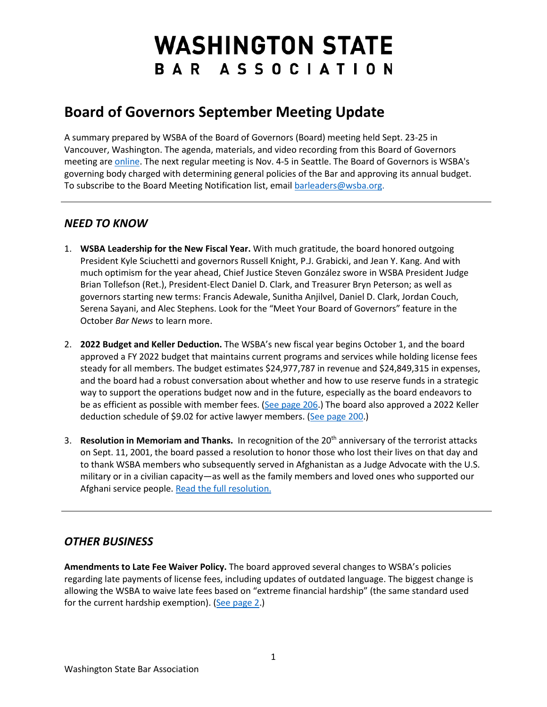# **WASHINGTON STATE** BAR ASSOCIATION

## **Board of Governors September Meeting Update**

A summary prepared by WSBA of the Board of Governors (Board) meeting held Sept. 23-25 in Vancouver, Washington. The agenda, materials, and video recording from this Board of Governors meeting ar[e online.](https://www.wsba.org/about-wsba/who-we-are/board-of-governors) The next regular meeting is Nov. 4-5 in Seattle. The Board of Governors is WSBA's governing body charged with determining general policies of the Bar and approving its annual budget. To subscribe to the Board Meeting Notification list, emai[l barleaders@wsba.org.](mailto:barleaders@wsba.org)

### *NEED TO KNOW*

- 1. **WSBA Leadership for the New Fiscal Year.** With much gratitude, the board honored outgoing President Kyle Sciuchetti and governors Russell Knight, P.J. Grabicki, and Jean Y. Kang. And with much optimism for the year ahead, Chief Justice Steven González swore in WSBA President Judge Brian Tollefson (Ret.), President-Elect Daniel D. Clark, and Treasurer Bryn Peterson; as well as governors starting new terms: Francis Adewale, Sunitha Anjilvel, Daniel D. Clark, Jordan Couch, Serena Sayani, and Alec Stephens. Look for the "Meet Your Board of Governors" feature in the October *Bar News* to learn more.
- 2. **2022 Budget and Keller Deduction.** The WSBA's new fiscal year begins October 1, and the board approved a FY 2022 budget that maintains current programs and services while holding license fees steady for all members. The budget estimates \$24,977,787 in revenue and \$24,849,315 in expenses, and the board had a robust conversation about whether and how to use reserve funds in a strategic way to support the operations budget now and in the future, especially as the board endeavors to be as efficient as possible with member fees. [\(See page 206.](https://www.wsba.org/docs/default-source/about-wsba/governance/bog-meeting-materials-2000-2001/board-of-governors-meeting-materials-september-2021.pdf#page=206)) The board also approved a 2022 Keller deduction schedule of \$9.02 for active lawyer members. [\(See page 200.](https://www.wsba.org/docs/default-source/about-wsba/governance/bog-meeting-materials-2000-2001/board-of-governors-meeting-materials-september-2021.pdf#page=200))
- 3. **Resolution in Memoriam and Thanks.** In recognition of the 20th anniversary of the terrorist attacks on Sept. 11, 2001, the board passed a resolution to honor those who lost their lives on that day and to thank WSBA members who subsequently served in Afghanistan as a Judge Advocate with the U.S. military or in a civilian capacity—as well as the family members and loved ones who supported our Afghani service people. [Read the full resolution.](https://www.wsba.org/docs/default-source/about-wsba/governance/resolutions/911-resolution.pdf?sfvrsn=ef2917f1_2)

#### *OTHER BUSINESS*

**Amendments to Late Fee Waiver Policy.** The board approved several changes to WSBA's policies regarding late payments of license fees, including updates of outdated language. The biggest change is allowing the WSBA to waive late fees based on "extreme financial hardship" (the same standard used for the current hardship exemption). [\(See page 2.](https://www.wsba.org/docs/default-source/about-wsba/governance/bog-meeting-materials-2000-2001/board-of-governors-meeting-late-late-materials-september-2021.pdf#page=2))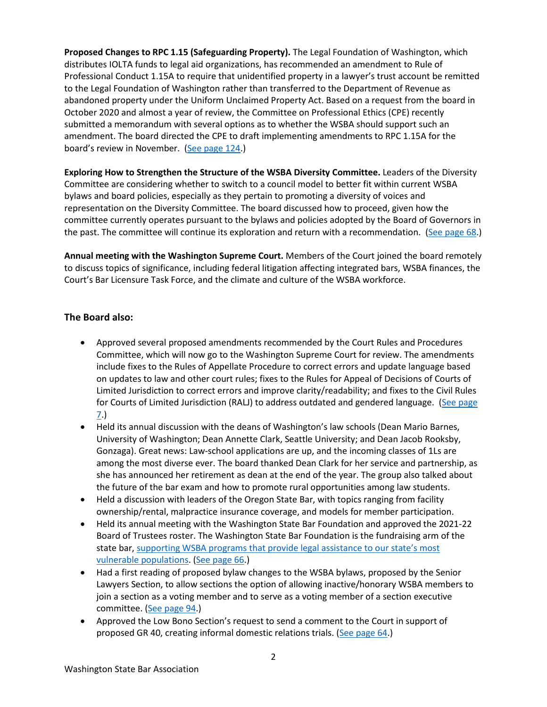**Proposed Changes to RPC 1.15 (Safeguarding Property).** The Legal Foundation of Washington, which distributes IOLTA funds to legal aid organizations, has recommended an amendment to Rule of Professional Conduct 1.15A to require that unidentified property in a lawyer's trust account be remitted to the Legal Foundation of Washington rather than transferred to the Department of Revenue as abandoned property under the Uniform Unclaimed Property Act. Based on a request from the board in October 2020 and almost a year of review, the Committee on Professional Ethics (CPE) recently submitted a memorandum with several options as to whether the WSBA should support such an amendment. The board directed the CPE to draft implementing amendments to RPC 1.15A for the board's review in November. [\(See page 124.](https://www.wsba.org/docs/default-source/about-wsba/governance/bog-meeting-materials-2000-2001/board-of-governors-meeting-materials-september-2021.pdf#page=124))

**Exploring How to Strengthen the Structure of the WSBA Diversity Committee.** Leaders of the Diversity Committee are considering whether to switch to a council model to better fit within current WSBA bylaws and board policies, especially as they pertain to promoting a diversity of voices and representation on the Diversity Committee. The board discussed how to proceed, given how the committee currently operates pursuant to the bylaws and policies adopted by the Board of Governors in the past. The committee will continue its exploration and return with a recommendation. [\(See page 68.](https://www.wsba.org/docs/default-source/about-wsba/governance/bog-meeting-materials-2000-2001/board-of-governors-meeting-materials-september-2021.pdf#page=68))

**Annual meeting with the Washington Supreme Court.** Members of the Court joined the board remotely to discuss topics of significance, including federal litigation affecting integrated bars, WSBA finances, the Court's Bar Licensure Task Force, and the climate and culture of the WSBA workforce.

#### **The Board also:**

- Approved several proposed amendments recommended by the Court Rules and Procedures Committee, which will now go to the Washington Supreme Court for review. The amendments include fixes to the Rules of Appellate Procedure to correct errors and update language based on updates to law and other court rules; fixes to the Rules for Appeal of Decisions of Courts of Limited Jurisdiction to correct errors and improve clarity/readability; and fixes to the Civil Rules for Courts of Limited Jurisdiction (RALJ) to address outdated and gendered language. (See page [7.](https://www.wsba.org/docs/default-source/about-wsba/governance/bog-meeting-materials-2000-2001/board-of-governors-meeting-materials-september-2021.pdf#page=7))
- Held its annual discussion with the deans of Washington's law schools (Dean Mario Barnes, University of Washington; Dean Annette Clark, Seattle University; and Dean Jacob Rooksby, Gonzaga). Great news: Law-school applications are up, and the incoming classes of 1Ls are among the most diverse ever. The board thanked Dean Clark for her service and partnership, as she has announced her retirement as dean at the end of the year. The group also talked about the future of the bar exam and how to promote rural opportunities among law students.
- Held a discussion with leaders of the Oregon State Bar, with topics ranging from facility ownership/rental, malpractice insurance coverage, and models for member participation.
- Held its annual meeting with the Washington State Bar Foundation and approved the 2021-22 Board of Trustees roster. The Washington State Bar Foundation is the fundraising arm of the state bar, [supporting WSBA programs that provide legal assistance to our state's most](https://www.youtube.com/watch?v=Z67OvwIApr8&feature=emb_imp_woyt)  [vulnerable populations.](https://www.youtube.com/watch?v=Z67OvwIApr8&feature=emb_imp_woyt) [\(See page 66.](https://www.wsba.org/docs/default-source/about-wsba/governance/bog-meeting-materials-2000-2001/board-of-governors-meeting-materials-september-2021.pdf#page=66))
- Had a first reading of proposed bylaw changes to the WSBA bylaws, proposed by the Senior Lawyers Section, to allow sections the option of allowing inactive/honorary WSBA members to join a section as a voting member and to serve as a voting member of a section executive committee. [\(See page 94.](https://www.wsba.org/docs/default-source/about-wsba/governance/bog-meeting-materials-2000-2001/board-of-governors-meeting-materials-september-2021.pdf#page=94))
- Approved the Low Bono Section's request to send a comment to the Court in support of proposed GR 40, creating informal domestic relations trials. [\(See page 64.](https://www.wsba.org/docs/default-source/about-wsba/governance/bog-meeting-materials-2000-2001/board-of-governors-meeting-materials-september-2021.pdf#page=64))